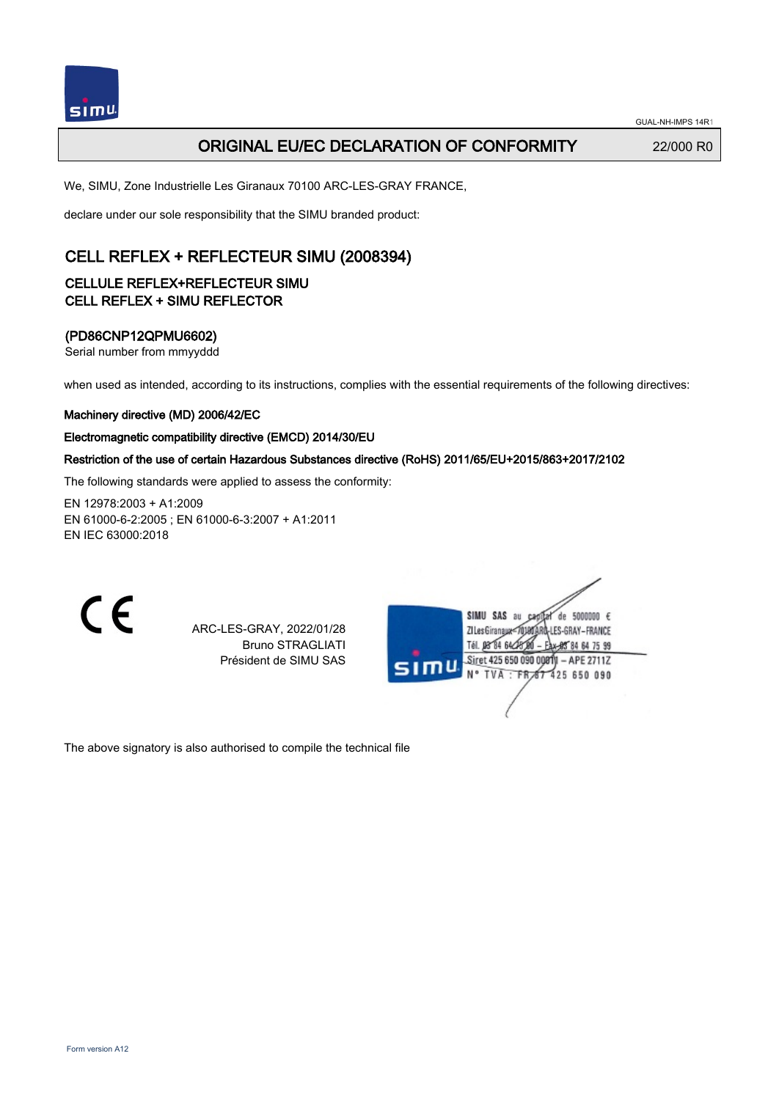

## **ORIGINAL EU/EC DECLARATION OF CONFORMITY** 22/000 R0

We, SIMU, Zone Industrielle Les Giranaux 70100 ARC-LES-GRAY FRANCE,

declare under our sole responsibility that the SIMU branded product:

# CELL REFLEX + REFLECTEUR SIMU (2008394)

### CELLULE REFLEX+REFLECTEUR SIMU CELL REFLEX + SIMU REFLECTOR

### (PD86CNP12QPMU6602)

Serial number from mmyyddd

when used as intended, according to its instructions, complies with the essential requirements of the following directives:

#### Machinery directive (MD) 2006/42/EC

#### Electromagnetic compatibility directive (EMCD) 2014/30/EU

### Restriction of the use of certain Hazardous Substances directive (RoHS) 2011/65/EU+2015/863+2017/2102

The following standards were applied to assess the conformity:

EN 12978:2003 + A1:2009 EN 61000‑6‑2:2005 ; EN 61000‑6‑3:2007 + A1:2011 EN IEC 63000:2018

CE

ARC-LES-GRAY, 2022/01/28 Bruno STRAGLIATI Président de SIMU SAS

| SIMU SAS au<br>5000000 $\epsilon$<br>de<br>Ċ₽<br>ZI Les Giranaux-7<br>LES-GRAY-FRANCE |
|---------------------------------------------------------------------------------------|
| Tél. 08 84 64 28 00<br>Eax-88 84 64 75 99                                             |
| Siret 425 650 090 00811 - APE 2711Z.<br>51 mu<br>N° TVA : FR 67 425 650 090           |
|                                                                                       |
|                                                                                       |

The above signatory is also authorised to compile the technical file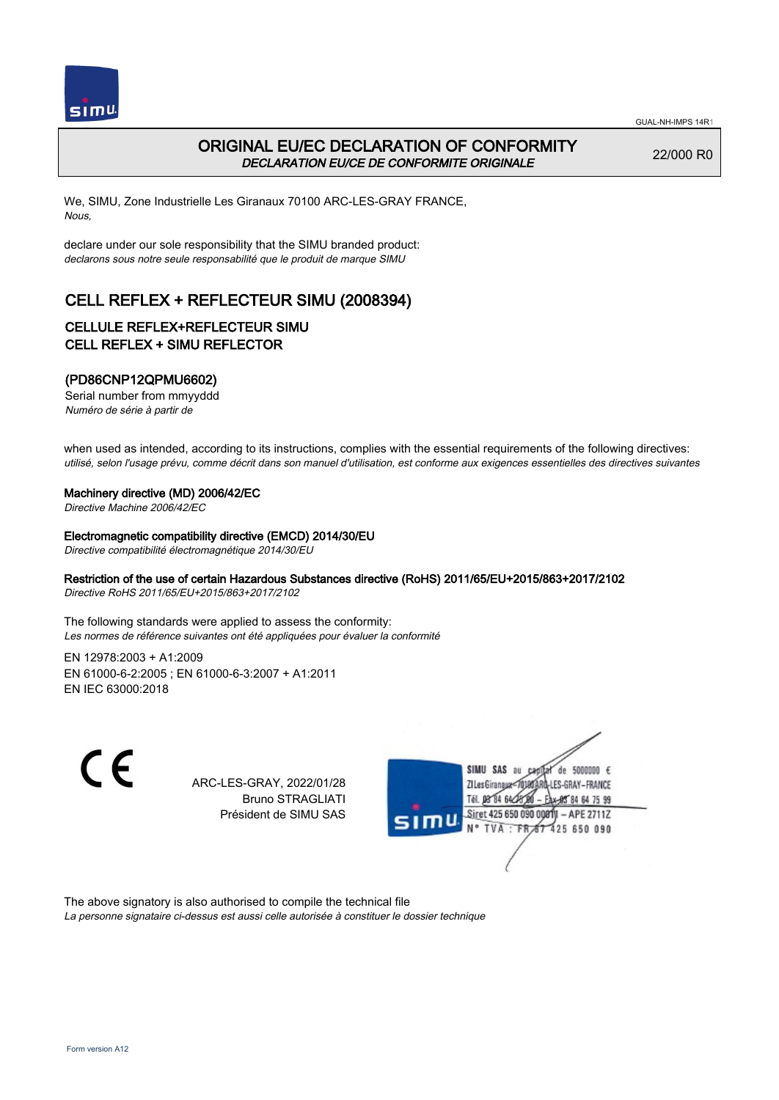

# ORIGINAL EU/EC DECLARATION OF CONFORMITY DECLARATION EU/CE DE CONFORMITE ORIGINALE

22/000 R0

We, SIMU, Zone Industrielle Les Giranaux 70100 ARC-LES-GRAY FRANCE, Nous,

declare under our sole responsibility that the SIMU branded product: declarons sous notre seule responsabilité que le produit de marque SIMU

# CELL REFLEX + REFLECTEUR SIMU (2008394)

### CELLULE REFLEX+REFLECTEUR SIMU CELL REFLEX + SIMU REFLECTOR

### (PD86CNP12QPMU6602)

Serial number from mmyyddd Numéro de série à partir de

when used as intended, according to its instructions, complies with the essential requirements of the following directives: utilisé, selon l'usage prévu, comme décrit dans son manuel d'utilisation, est conforme aux exigences essentielles des directives suivantes

#### Machinery directive (MD) 2006/42/EC

Directive Machine 2006/42/EC

#### Electromagnetic compatibility directive (EMCD) 2014/30/EU

Directive compatibilité électromagnétique 2014/30/EU

#### Restriction of the use of certain Hazardous Substances directive (RoHS) 2011/65/EU+2015/863+2017/2102

Directive RoHS 2011/65/EU+2015/863+2017/2102

The following standards were applied to assess the conformity: Les normes de référence suivantes ont été appliquées pour évaluer la conformité

EN 12978:2003 + A1:2009 EN 61000‑6‑2:2005 ; EN 61000‑6‑3:2007 + A1:2011 EN IEC 63000:2018

 $\epsilon$ 

ARC-LES-GRAY, 2022/01/28 Bruno STRAGLIATI Président de SIMU SAS



The above signatory is also authorised to compile the technical file

La personne signataire ci-dessus est aussi celle autorisée à constituer le dossier technique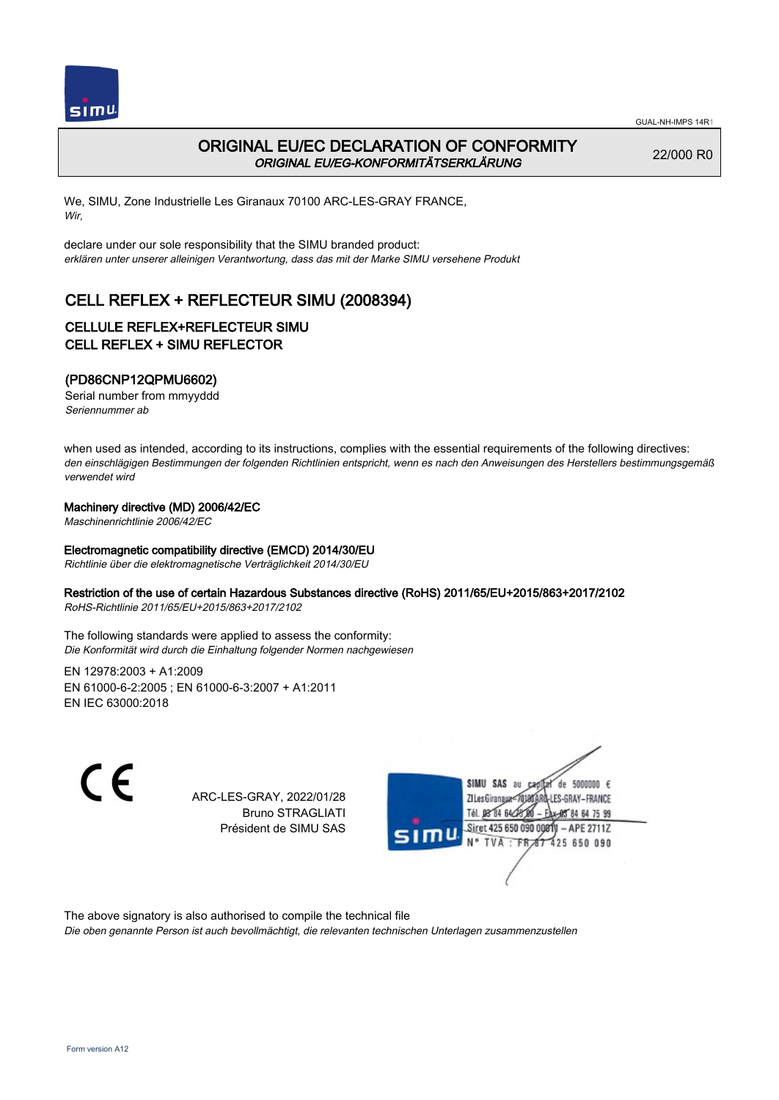

## ORIGINAL EU/EC DECLARATION OF CONFORMITY ORIGINAL EU/EG-KONFORMITÄTSERKLÄRUNG

22/000 R0

We, SIMU, Zone Industrielle Les Giranaux 70100 ARC-LES-GRAY FRANCE, Wir,

declare under our sole responsibility that the SIMU branded product: erklären unter unserer alleinigen Verantwortung, dass das mit der Marke SIMU versehene Produkt

# CELL REFLEX + REFLECTEUR SIMU (2008394)

## CELLULE REFLEX+REFLECTEUR SIMU CELL REFLEX + SIMU REFLECTOR

### (PD86CNP12QPMU6602)

Serial number from mmyyddd Seriennummer ab

when used as intended, according to its instructions, complies with the essential requirements of the following directives: den einschlägigen Bestimmungen der folgenden Richtlinien entspricht, wenn es nach den Anweisungen des Herstellers bestimmungsgemäß verwendet wird

#### Machinery directive (MD) 2006/42/EC

Maschinenrichtlinie 2006/42/EC

#### Electromagnetic compatibility directive (EMCD) 2014/30/EU

Richtlinie über die elektromagnetische Verträglichkeit 2014/30/EU

#### Restriction of the use of certain Hazardous Substances directive (RoHS) 2011/65/EU+2015/863+2017/2102

RoHS-Richtlinie 2011/65/EU+2015/863+2017/2102

The following standards were applied to assess the conformity: Die Konformität wird durch die Einhaltung folgender Normen nachgewiesen

EN 12978:2003 + A1:2009 EN 61000‑6‑2:2005 ; EN 61000‑6‑3:2007 + A1:2011 EN IEC 63000:2018

C F

ARC-LES-GRAY, 2022/01/28 Bruno STRAGLIATI Président de SIMU SAS



The above signatory is also authorised to compile the technical file

Die oben genannte Person ist auch bevollmächtigt, die relevanten technischen Unterlagen zusammenzustellen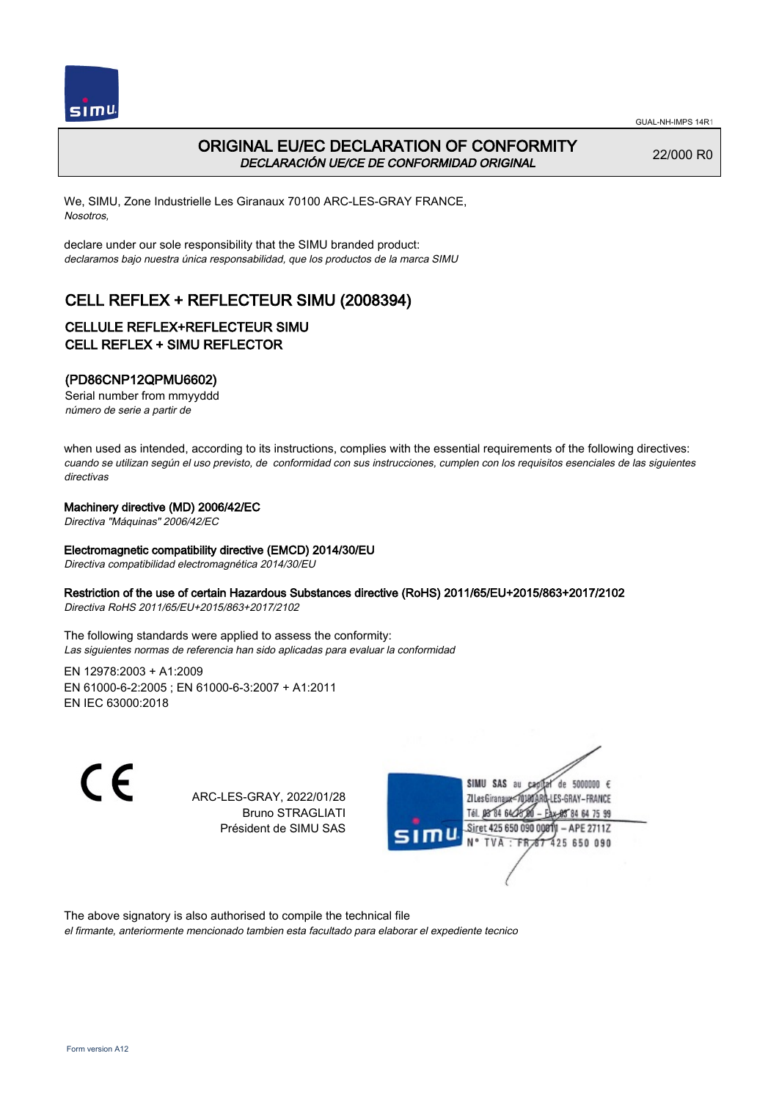



## ORIGINAL EU/EC DECLARATION OF CONFORMITY DECLARACIÓN UE/CE DE CONFORMIDAD ORIGINAL

22/000 R0

We, SIMU, Zone Industrielle Les Giranaux 70100 ARC-LES-GRAY FRANCE, Nosotros,

declare under our sole responsibility that the SIMU branded product: declaramos bajo nuestra única responsabilidad, que los productos de la marca SIMU

# CELL REFLEX + REFLECTEUR SIMU (2008394)

### CELLULE REFLEX+REFLECTEUR SIMU CELL REFLEX + SIMU REFLECTOR

### (PD86CNP12QPMU6602)

Serial number from mmyyddd número de serie a partir de

when used as intended, according to its instructions, complies with the essential requirements of the following directives: cuando se utilizan según el uso previsto, de conformidad con sus instrucciones, cumplen con los requisitos esenciales de las siguientes directivas

#### Machinery directive (MD) 2006/42/EC

Directiva "Máquinas" 2006/42/EC

#### Electromagnetic compatibility directive (EMCD) 2014/30/EU

Directiva compatibilidad electromagnética 2014/30/EU

#### Restriction of the use of certain Hazardous Substances directive (RoHS) 2011/65/EU+2015/863+2017/2102

Directiva RoHS 2011/65/EU+2015/863+2017/2102

The following standards were applied to assess the conformity: Las siguientes normas de referencia han sido aplicadas para evaluar la conformidad

EN 12978:2003 + A1:2009 EN 61000‑6‑2:2005 ; EN 61000‑6‑3:2007 + A1:2011 EN IEC 63000:2018

C F

ARC-LES-GRAY, 2022/01/28 Bruno STRAGLIATI Président de SIMU SAS



The above signatory is also authorised to compile the technical file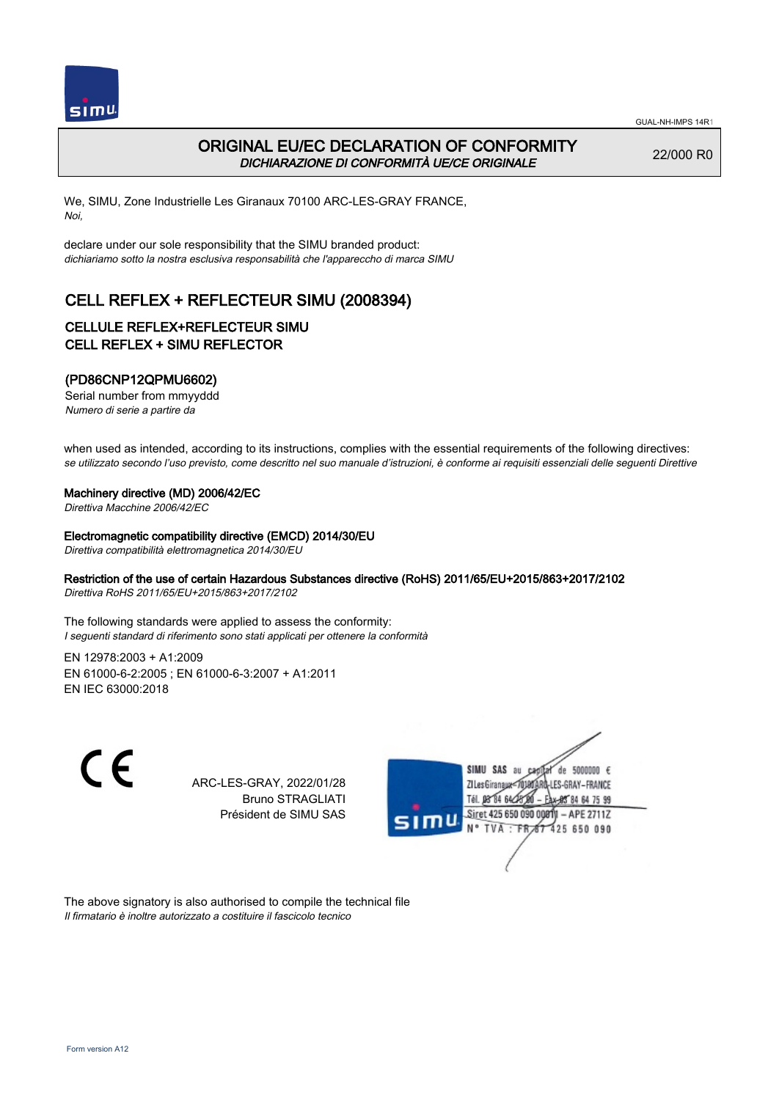

# ORIGINAL EU/EC DECLARATION OF CONFORMITY DICHIARAZIONE DI CONFORMITÀ UE/CE ORIGINALE

22/000 R0

We, SIMU, Zone Industrielle Les Giranaux 70100 ARC-LES-GRAY FRANCE, Noi,

declare under our sole responsibility that the SIMU branded product: dichiariamo sotto la nostra esclusiva responsabilità che l'appareccho di marca SIMU

# CELL REFLEX + REFLECTEUR SIMU (2008394)

## CELLULE REFLEX+REFLECTEUR SIMU CELL REFLEX + SIMU REFLECTOR

### (PD86CNP12QPMU6602)

Serial number from mmyyddd Numero di serie a partire da

when used as intended, according to its instructions, complies with the essential requirements of the following directives: se utilizzato secondo l'uso previsto, come descritto nel suo manuale d'istruzioni, è conforme ai requisiti essenziali delle sequenti Direttive

#### Machinery directive (MD) 2006/42/EC

Direttiva Macchine 2006/42/EC

#### Electromagnetic compatibility directive (EMCD) 2014/30/EU

Direttiva compatibilità elettromagnetica 2014/30/EU

#### Restriction of the use of certain Hazardous Substances directive (RoHS) 2011/65/EU+2015/863+2017/2102

Direttiva RoHS 2011/65/EU+2015/863+2017/2102

The following standards were applied to assess the conformity: I seguenti standard di riferimento sono stati applicati per ottenere la conformità

EN 12978:2003 + A1:2009 EN 61000‑6‑2:2005 ; EN 61000‑6‑3:2007 + A1:2011 EN IEC 63000:2018

 $\epsilon$ 

ARC-LES-GRAY, 2022/01/28 Bruno STRAGLIATI Président de SIMU SAS



The above signatory is also authorised to compile the technical file Il firmatario è inoltre autorizzato a costituire il fascicolo tecnico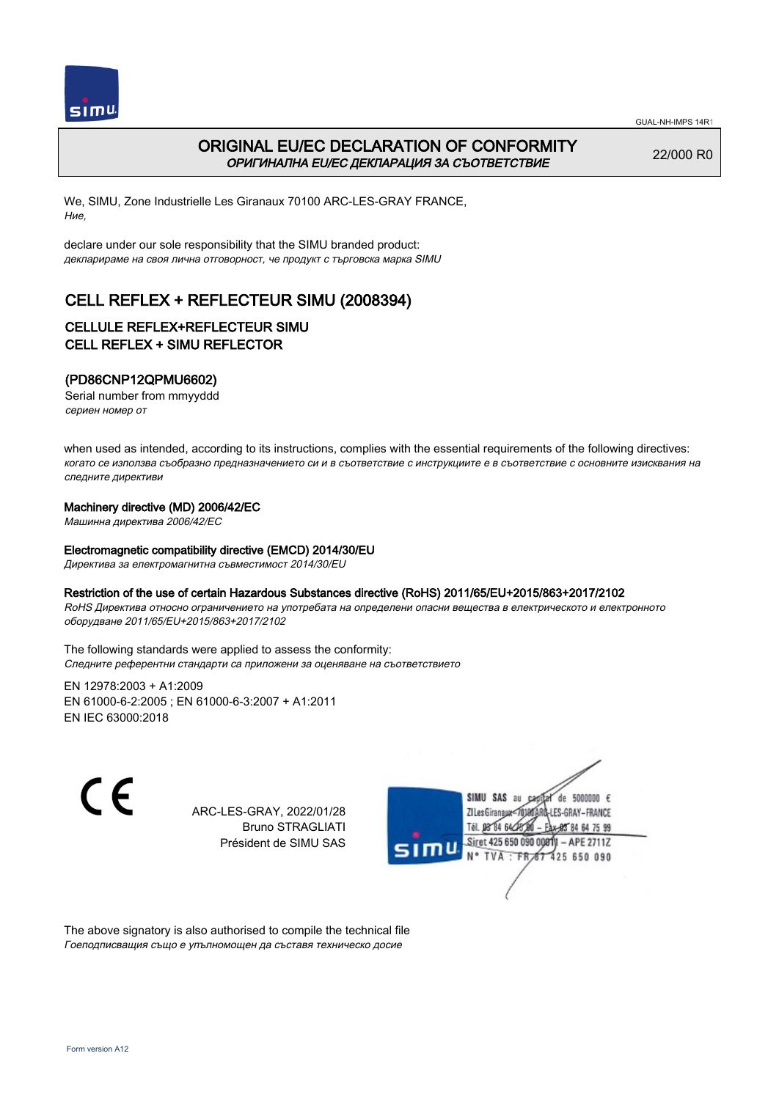

## ORIGINAL EU/EC DECLARATION OF CONFORMITY ОРИГИНАЛНА EU/EC ДЕКЛАРАЦИЯ ЗА СЪОТВЕТСТВИЕ

22/000 R0

We, SIMU, Zone Industrielle Les Giranaux 70100 ARC-LES-GRAY FRANCE, Ние,

declare under our sole responsibility that the SIMU branded product: декларираме на своя лична отговорност, че продукт с търговска марка SIMU

# CELL REFLEX + REFLECTEUR SIMU (2008394)

### CELLULE REFLEX+REFLECTEUR SIMU CELL REFLEX + SIMU REFLECTOR

### (PD86CNP12QPMU6602)

Serial number from mmyyddd сериен номер от

when used as intended, according to its instructions, complies with the essential requirements of the following directives: когато се използва съобразно предназначението си и в съответствие с инструкциите е в съответствие с основните изисквания на следните директиви

#### Machinery directive (MD) 2006/42/EC

Машинна директива 2006/42/EC

#### Electromagnetic compatibility directive (EMCD) 2014/30/EU

Директива за електромагнитна съвместимост 2014/30/EU

#### Restriction of the use of certain Hazardous Substances directive (RoHS) 2011/65/EU+2015/863+2017/2102

RoHS Директива относно ограничението на употребата на определени опасни вещества в електрическото и електронното оборудване 2011/65/EU+2015/863+2017/2102

The following standards were applied to assess the conformity: Следните референтни стандарти са приложени за оценяване на съответствието

EN 12978:2003 + A1:2009 EN 61000‑6‑2:2005 ; EN 61000‑6‑3:2007 + A1:2011 EN IEC 63000:2018

CE

ARC-LES-GRAY, 2022/01/28 Bruno STRAGLIATI Président de SIMU SAS



The above signatory is also authorised to compile the technical file Гоеподписващия също е упълномощен да съставя техническо досие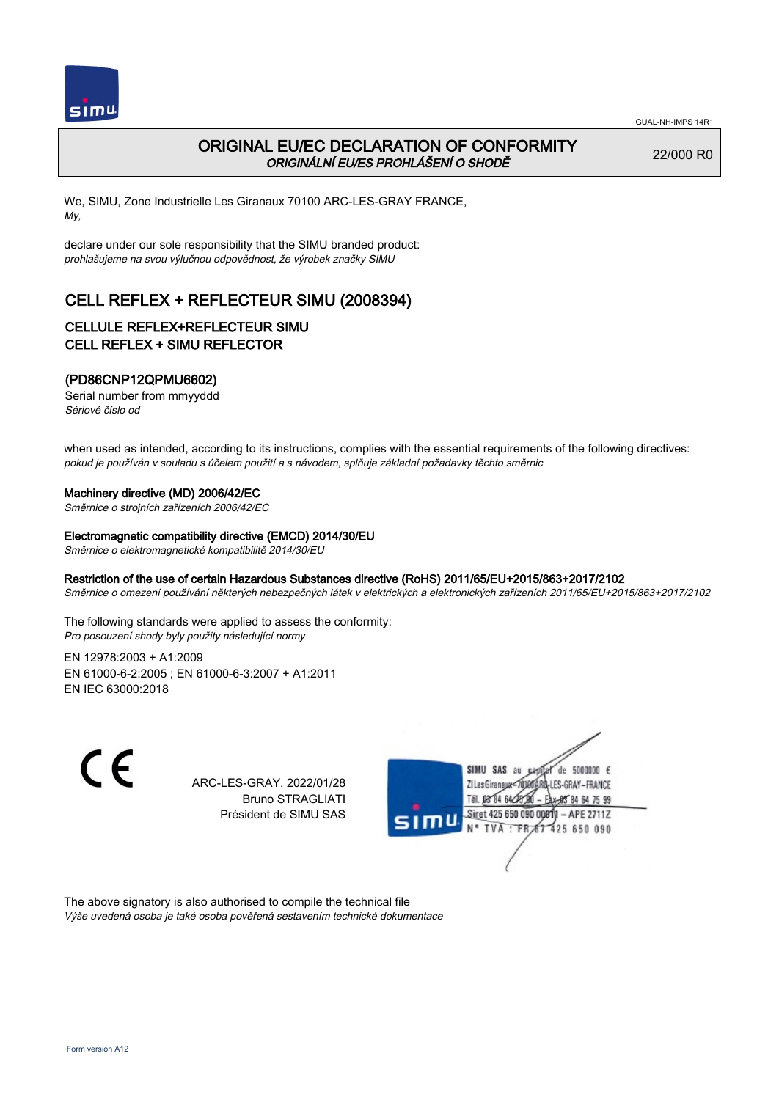

## ORIGINAL EU/EC DECLARATION OF CONFORMITY ORIGINÁLNÍ EU/ES PROHLÁŠENÍ O SHODĚ

22/000 R0

We, SIMU, Zone Industrielle Les Giranaux 70100 ARC-LES-GRAY FRANCE, My,

declare under our sole responsibility that the SIMU branded product: prohlašujeme na svou výlučnou odpovědnost, že výrobek značky SIMU

# CELL REFLEX + REFLECTEUR SIMU (2008394)

### CELLULE REFLEX+REFLECTEUR SIMU CELL REFLEX + SIMU REFLECTOR

### (PD86CNP12QPMU6602)

Serial number from mmyyddd Sériové číslo od

when used as intended, according to its instructions, complies with the essential requirements of the following directives: pokud je používán v souladu s účelem použití a s návodem, splňuje základní požadavky těchto směrnic

#### Machinery directive (MD) 2006/42/EC

Směrnice o strojních zařízeních 2006/42/EC

#### Electromagnetic compatibility directive (EMCD) 2014/30/EU

Směrnice o elektromagnetické kompatibilitě 2014/30/EU

#### Restriction of the use of certain Hazardous Substances directive (RoHS) 2011/65/EU+2015/863+2017/2102

Směrnice o omezení používání některých nebezpečných látek v elektrických a elektronických zařízeních 2011/65/EU+2015/863+2017/2102

The following standards were applied to assess the conformity: Pro posouzení shody byly použity následující normy

EN 12978:2003 + A1:2009 EN 61000‑6‑2:2005 ; EN 61000‑6‑3:2007 + A1:2011 EN IEC 63000:2018



ARC-LES-GRAY, 2022/01/28 Bruno STRAGLIATI Président de SIMU SAS



The above signatory is also authorised to compile the technical file Výše uvedená osoba je také osoba pověřená sestavením technické dokumentace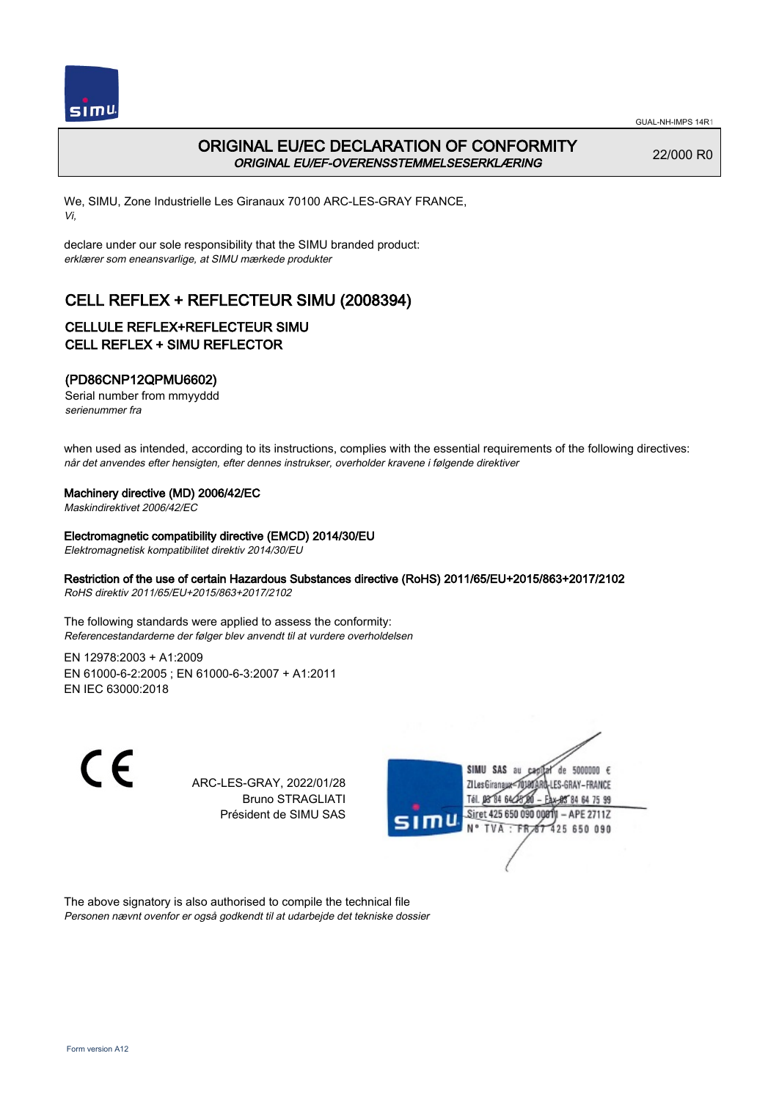

## ORIGINAL EU/EC DECLARATION OF CONFORMITY ORIGINAL EU/EF-OVERENSSTEMMELSESERKLÆRING

22/000 R0

We, SIMU, Zone Industrielle Les Giranaux 70100 ARC-LES-GRAY FRANCE, Vi,

declare under our sole responsibility that the SIMU branded product: erklærer som eneansvarlige, at SIMU mærkede produkter

# CELL REFLEX + REFLECTEUR SIMU (2008394)

### CELLULE REFLEX+REFLECTEUR SIMU CELL REFLEX + SIMU REFLECTOR

### (PD86CNP12QPMU6602)

Serial number from mmyyddd serienummer fra

when used as intended, according to its instructions, complies with the essential requirements of the following directives: når det anvendes efter hensigten, efter dennes instrukser, overholder kravene i følgende direktiver

#### Machinery directive (MD) 2006/42/EC

Maskindirektivet 2006/42/EC

#### Electromagnetic compatibility directive (EMCD) 2014/30/EU

Elektromagnetisk kompatibilitet direktiv 2014/30/EU

#### Restriction of the use of certain Hazardous Substances directive (RoHS) 2011/65/EU+2015/863+2017/2102

RoHS direktiv 2011/65/EU+2015/863+2017/2102

The following standards were applied to assess the conformity: Referencestandarderne der følger blev anvendt til at vurdere overholdelsen

EN 12978:2003 + A1:2009 EN 61000‑6‑2:2005 ; EN 61000‑6‑3:2007 + A1:2011 EN IEC 63000:2018

 $\epsilon$ 

ARC-LES-GRAY, 2022/01/28 Bruno STRAGLIATI Président de SIMU SAS



The above signatory is also authorised to compile the technical file Personen nævnt ovenfor er også godkendt til at udarbejde det tekniske dossier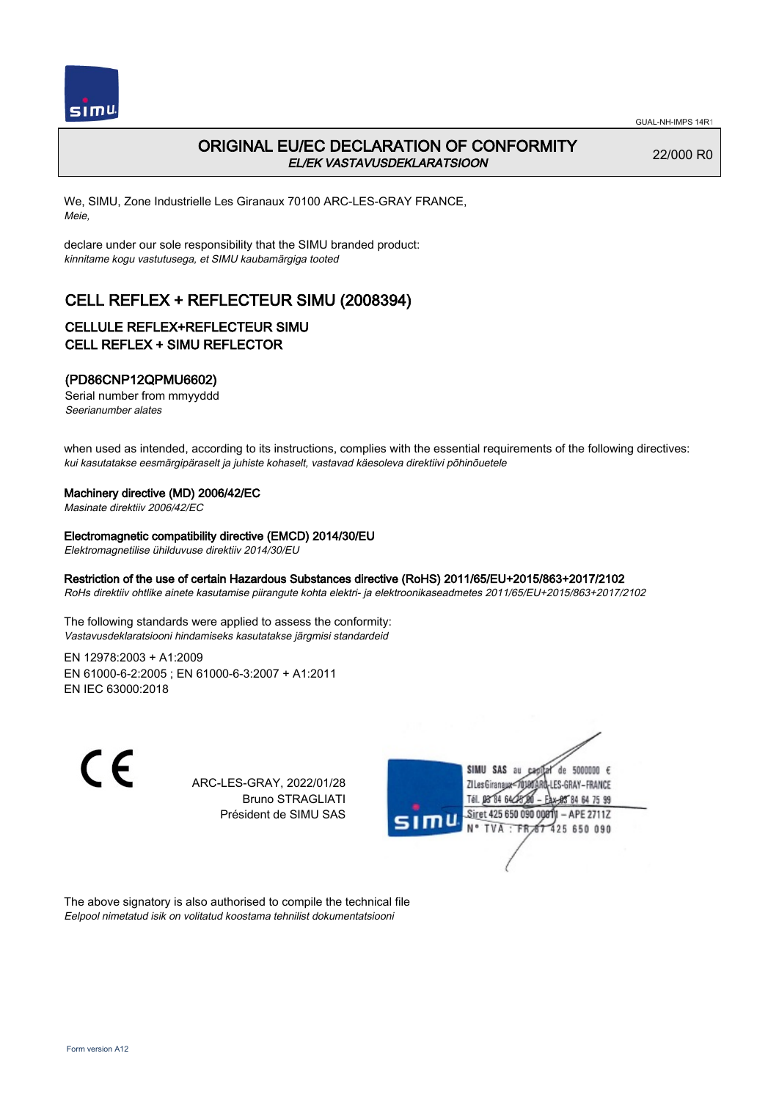

# ORIGINAL EU/EC DECLARATION OF CONFORMITY EL/EK VASTAVUSDEKLARATSIOON

22/000 R0

We, SIMU, Zone Industrielle Les Giranaux 70100 ARC-LES-GRAY FRANCE, Meie,

declare under our sole responsibility that the SIMU branded product: kinnitame kogu vastutusega, et SIMU kaubamärgiga tooted

# CELL REFLEX + REFLECTEUR SIMU (2008394)

### CELLULE REFLEX+REFLECTEUR SIMU CELL REFLEX + SIMU REFLECTOR

### (PD86CNP12QPMU6602)

Serial number from mmyyddd Seerianumber alates

when used as intended, according to its instructions, complies with the essential requirements of the following directives: kui kasutatakse eesmärgipäraselt ja juhiste kohaselt, vastavad käesoleva direktiivi põhinõuetele

#### Machinery directive (MD) 2006/42/EC

Masinate direktiiv 2006/42/EC

#### Electromagnetic compatibility directive (EMCD) 2014/30/EU

Elektromagnetilise ühilduvuse direktiiv 2014/30/EU

#### Restriction of the use of certain Hazardous Substances directive (RoHS) 2011/65/EU+2015/863+2017/2102

RoHs direktiiv ohtlike ainete kasutamise piirangute kohta elektri- ja elektroonikaseadmetes 2011/65/EU+2015/863+2017/2102

The following standards were applied to assess the conformity: Vastavusdeklaratsiooni hindamiseks kasutatakse järgmisi standardeid

EN 12978:2003 + A1:2009 EN 61000‑6‑2:2005 ; EN 61000‑6‑3:2007 + A1:2011 EN IEC 63000:2018

 $\epsilon$ 

ARC-LES-GRAY, 2022/01/28 Bruno STRAGLIATI Président de SIMU SAS



The above signatory is also authorised to compile the technical file Eelpool nimetatud isik on volitatud koostama tehnilist dokumentatsiooni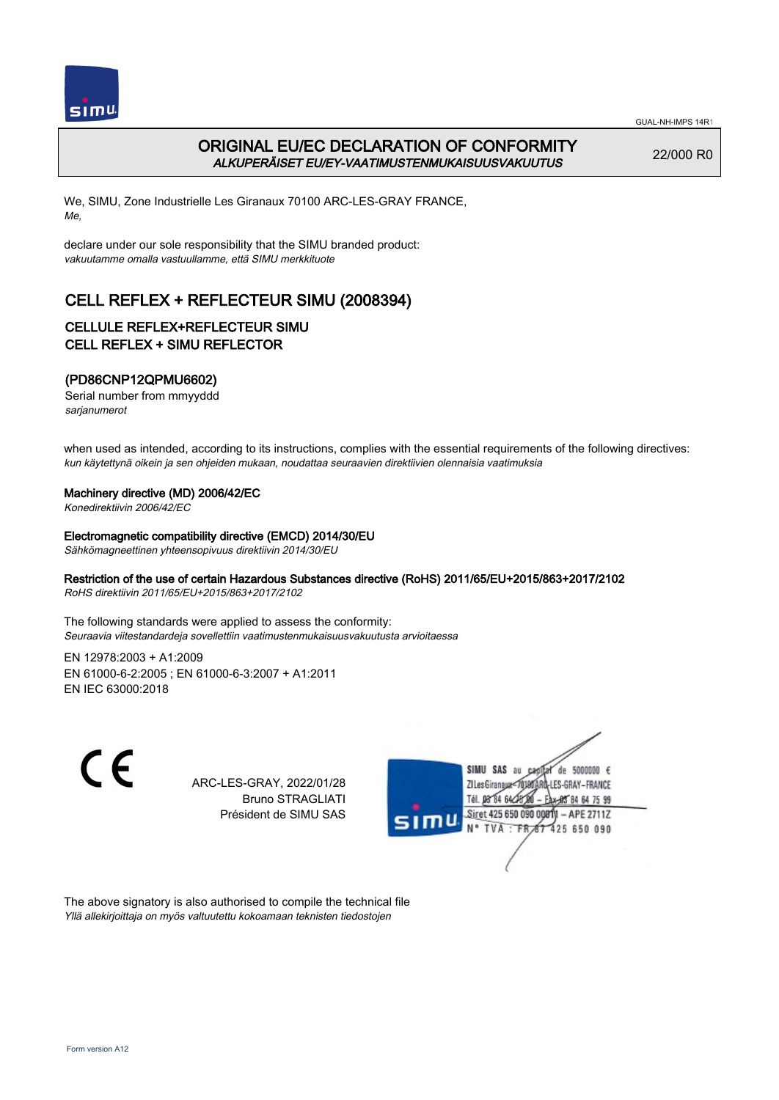

# ORIGINAL EU/EC DECLARATION OF CONFORMITY ALKUPERÄISET EU/EY-VAATIMUSTENMUKAISUUSVAKUUTUS

22/000 R0

We, SIMU, Zone Industrielle Les Giranaux 70100 ARC-LES-GRAY FRANCE, Me,

declare under our sole responsibility that the SIMU branded product: vakuutamme omalla vastuullamme, että SIMU merkkituote

# CELL REFLEX + REFLECTEUR SIMU (2008394)

### CELLULE REFLEX+REFLECTEUR SIMU CELL REFLEX + SIMU REFLECTOR

### (PD86CNP12QPMU6602)

Serial number from mmyyddd sarjanumerot

when used as intended, according to its instructions, complies with the essential requirements of the following directives: kun käytettynä oikein ja sen ohjeiden mukaan, noudattaa seuraavien direktiivien olennaisia vaatimuksia

#### Machinery directive (MD) 2006/42/EC

Konedirektiivin 2006/42/EC

#### Electromagnetic compatibility directive (EMCD) 2014/30/EU

Sähkömagneettinen yhteensopivuus direktiivin 2014/30/EU

#### Restriction of the use of certain Hazardous Substances directive (RoHS) 2011/65/EU+2015/863+2017/2102

RoHS direktiivin 2011/65/EU+2015/863+2017/2102

The following standards were applied to assess the conformity: Seuraavia viitestandardeja sovellettiin vaatimustenmukaisuusvakuutusta arvioitaessa

EN 12978:2003 + A1:2009 EN 61000‑6‑2:2005 ; EN 61000‑6‑3:2007 + A1:2011 EN IEC 63000:2018

 $\epsilon$ 

ARC-LES-GRAY, 2022/01/28 Bruno STRAGLIATI Président de SIMU SAS



The above signatory is also authorised to compile the technical file Yllä allekirjoittaja on myös valtuutettu kokoamaan teknisten tiedostojen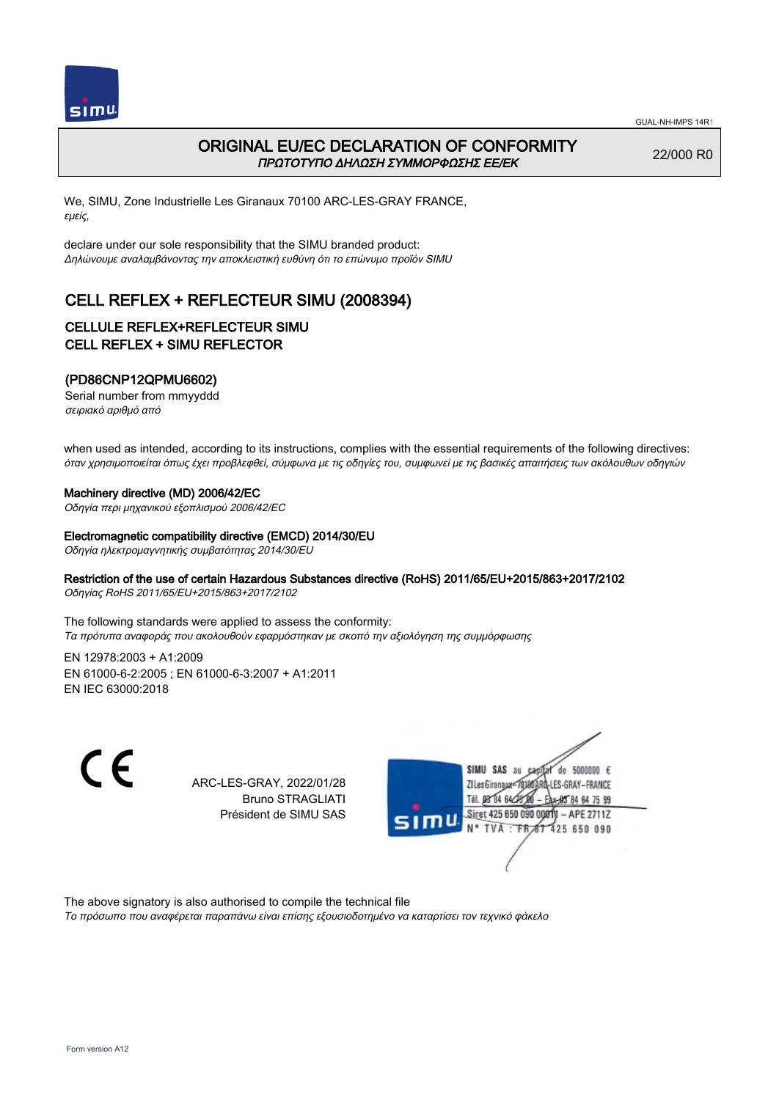

# ORIGINAL EU/EC DECLARATION OF CONFORMITY ΠΡΩΤΟΤΥΠΟ ΔΗΛΩΣΗ ΣΥΜΜΟΡΦΩΣΗΣ ΕΕ/EK

22/000 R0

We, SIMU, Zone Industrielle Les Giranaux 70100 ARC-LES-GRAY FRANCE, εμείς,

declare under our sole responsibility that the SIMU branded product: Δηλώνουμε αναλαμβάνοντας την αποκλειστική ευθύνη ότι το επώνυμο προϊόν SIMU

# CELL REFLEX + REFLECTEUR SIMU (2008394)

### CELLULE REFLEX+REFLECTEUR SIMU CELL REFLEX + SIMU REFLECTOR

### (PD86CNP12QPMU6602)

Serial number from mmyyddd σειριακό αριθμό από

when used as intended, according to its instructions, complies with the essential requirements of the following directives: όταν χρησιμοποιείται όπως έχει προβλεφθεί, σύμφωνα με τις οδηγίες του, συμφωνεί με τις βασικές απαιτήσεις των ακόλουθων οδηγιών

#### Machinery directive (MD) 2006/42/EC

Οδηγία περι μηχανικού εξοπλισμού 2006/42/EC

#### Electromagnetic compatibility directive (EMCD) 2014/30/EU

Οδηγία ηλεκτρομαγνητικής συμβατότητας 2014/30/EU

#### Restriction of the use of certain Hazardous Substances directive (RoHS) 2011/65/EU+2015/863+2017/2102

Οδηγίας RoHS 2011/65/EU+2015/863+2017/2102

The following standards were applied to assess the conformity: Τα πρότυπα αναφοράς που ακολουθούν εφαρμόστηκαν με σκοπό την αξιολόγηση της συμμόρφωσης

EN 12978:2003 + A1:2009 EN 61000‑6‑2:2005 ; EN 61000‑6‑3:2007 + A1:2011 EN IEC 63000:2018

 $\epsilon$ 

ARC-LES-GRAY, 2022/01/28 Bruno STRAGLIATI Président de SIMU SAS



The above signatory is also authorised to compile the technical file

Το πρόσωπο που αναφέρεται παραπάνω είναι επίσης εξουσιοδοτημένο να καταρτίσει τον τεχνικό φάκελο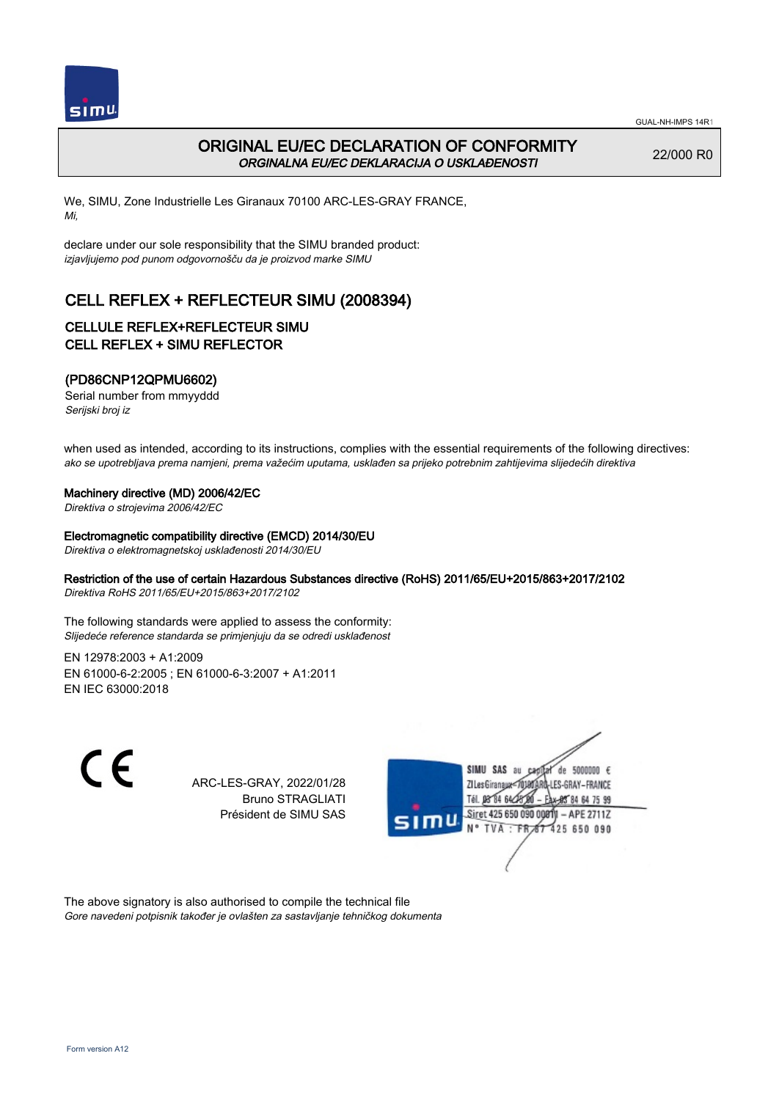

# ORIGINAL EU/EC DECLARATION OF CONFORMITY ORGINALNA EU/EC DEKLARACIJA O USKLAĐENOSTI

22/000 R0

We, SIMU, Zone Industrielle Les Giranaux 70100 ARC-LES-GRAY FRANCE, Mi,

declare under our sole responsibility that the SIMU branded product: izjavljujemo pod punom odgovornošču da je proizvod marke SIMU

# CELL REFLEX + REFLECTEUR SIMU (2008394)

### CELLULE REFLEX+REFLECTEUR SIMU CELL REFLEX + SIMU REFLECTOR

### (PD86CNP12QPMU6602)

Serial number from mmyyddd Serijski broj iz

when used as intended, according to its instructions, complies with the essential requirements of the following directives: ako se upotrebljava prema namjeni, prema važećim uputama, usklađen sa prijeko potrebnim zahtijevima slijedećih direktiva

#### Machinery directive (MD) 2006/42/EC

Direktiva o strojevima 2006/42/EC

#### Electromagnetic compatibility directive (EMCD) 2014/30/EU

Direktiva o elektromagnetskoj usklađenosti 2014/30/EU

#### Restriction of the use of certain Hazardous Substances directive (RoHS) 2011/65/EU+2015/863+2017/2102

Direktiva RoHS 2011/65/EU+2015/863+2017/2102

The following standards were applied to assess the conformity: Slijedeće reference standarda se primjenjuju da se odredi usklađenost

EN 12978:2003 + A1:2009 EN 61000‑6‑2:2005 ; EN 61000‑6‑3:2007 + A1:2011 EN IEC 63000:2018

 $\epsilon$ 

ARC-LES-GRAY, 2022/01/28 Bruno STRAGLIATI Président de SIMU SAS



The above signatory is also authorised to compile the technical file Gore navedeni potpisnik također je ovlašten za sastavljanje tehničkog dokumenta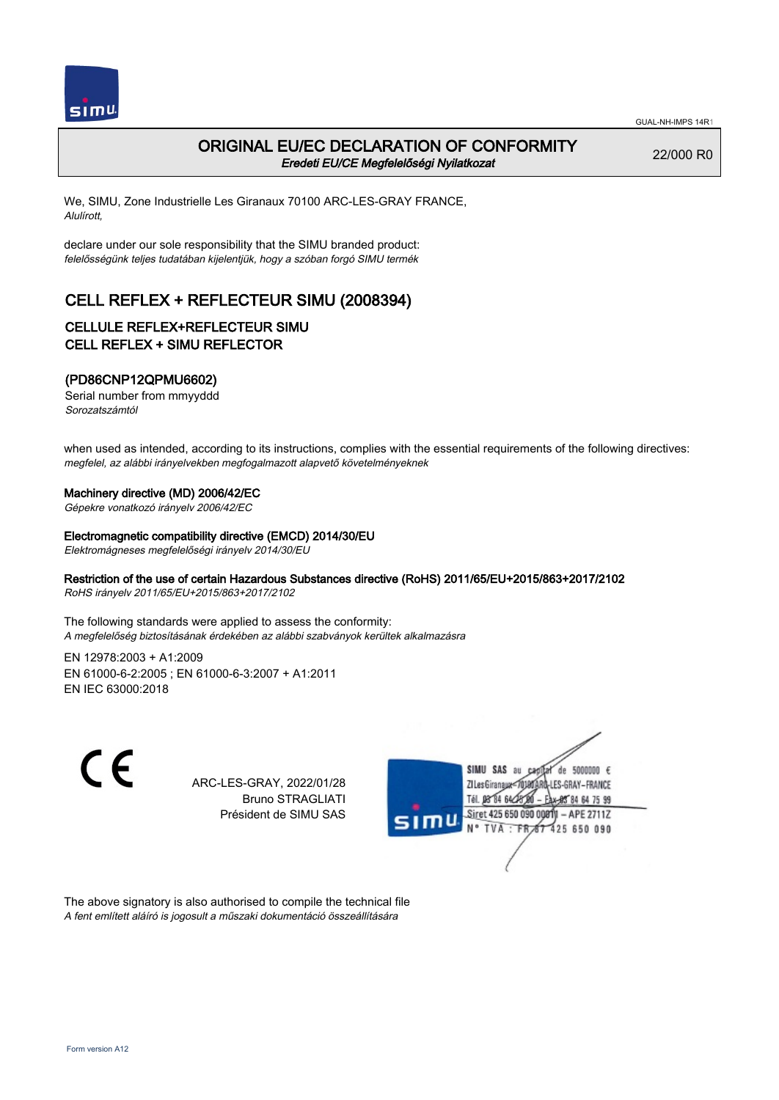

## ORIGINAL EU/EC DECLARATION OF CONFORMITY Eredeti EU/CE Megfelelőségi Nyilatkozat

22/000 R0

We, SIMU, Zone Industrielle Les Giranaux 70100 ARC-LES-GRAY FRANCE, Alulírott,

declare under our sole responsibility that the SIMU branded product: felelősségünk teljes tudatában kijelentjük, hogy a szóban forgó SIMU termék

# CELL REFLEX + REFLECTEUR SIMU (2008394)

### CELLULE REFLEX+REFLECTEUR SIMU CELL REFLEX + SIMU REFLECTOR

### (PD86CNP12QPMU6602)

Serial number from mmyyddd Sorozatszámtól

when used as intended, according to its instructions, complies with the essential requirements of the following directives: megfelel, az alábbi irányelvekben megfogalmazott alapvető követelményeknek

#### Machinery directive (MD) 2006/42/EC

Gépekre vonatkozó irányelv 2006/42/EC

#### Electromagnetic compatibility directive (EMCD) 2014/30/EU

Elektromágneses megfelelőségi irányelv 2014/30/EU

#### Restriction of the use of certain Hazardous Substances directive (RoHS) 2011/65/EU+2015/863+2017/2102

RoHS irányelv 2011/65/EU+2015/863+2017/2102

The following standards were applied to assess the conformity: A megfelelőség biztosításának érdekében az alábbi szabványok kerültek alkalmazásra

EN 12978:2003 + A1:2009 EN 61000‑6‑2:2005 ; EN 61000‑6‑3:2007 + A1:2011 EN IEC 63000:2018

 $\epsilon$ 

ARC-LES-GRAY, 2022/01/28 Bruno STRAGLIATI Président de SIMU SAS



The above signatory is also authorised to compile the technical file A fent említett aláíró is jogosult a műszaki dokumentáció összeállítására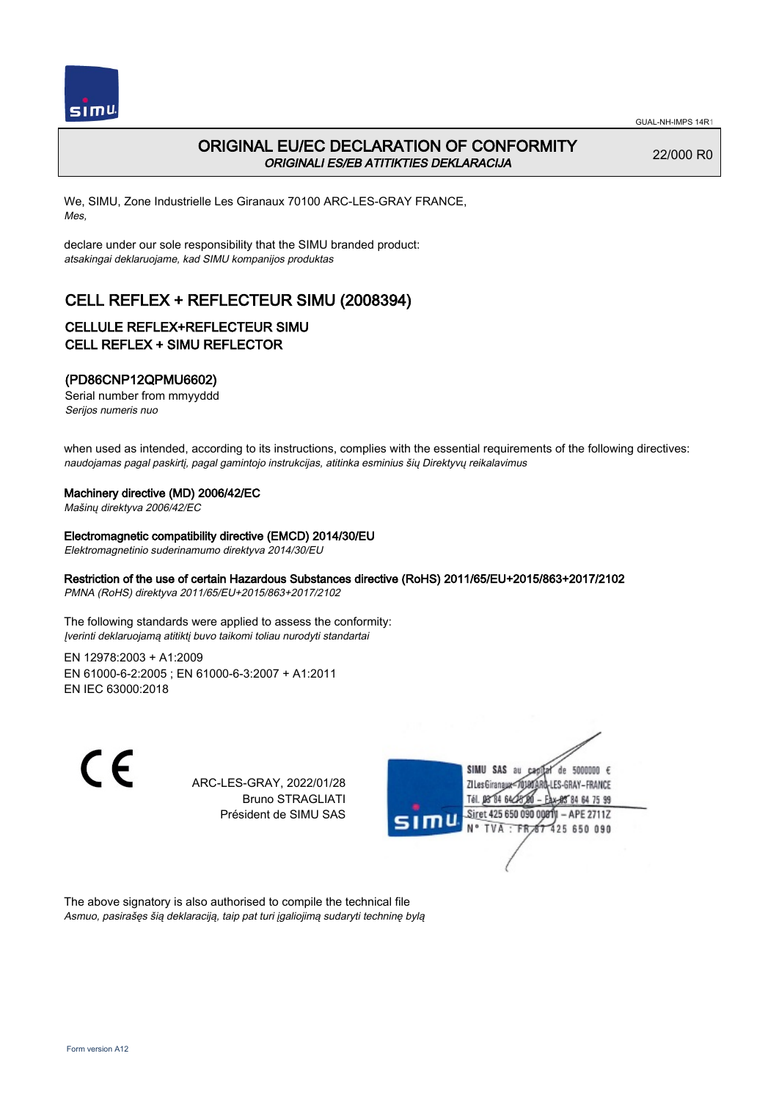

## ORIGINAL EU/EC DECLARATION OF CONFORMITY ORIGINALI ES/EB ATITIKTIES DEKLARACIJA

22/000 R0

We, SIMU, Zone Industrielle Les Giranaux 70100 ARC-LES-GRAY FRANCE, Mes,

declare under our sole responsibility that the SIMU branded product: atsakingai deklaruojame, kad SIMU kompanijos produktas

# CELL REFLEX + REFLECTEUR SIMU (2008394)

### CELLULE REFLEX+REFLECTEUR SIMU CELL REFLEX + SIMU REFLECTOR

### (PD86CNP12QPMU6602)

Serial number from mmyyddd Serijos numeris nuo

when used as intended, according to its instructions, complies with the essential requirements of the following directives: naudojamas pagal paskirtį, pagal gamintojo instrukcijas, atitinka esminius šių Direktyvų reikalavimus

#### Machinery directive (MD) 2006/42/EC

Mašinų direktyva 2006/42/EC

#### Electromagnetic compatibility directive (EMCD) 2014/30/EU

Elektromagnetinio suderinamumo direktyva 2014/30/EU

#### Restriction of the use of certain Hazardous Substances directive (RoHS) 2011/65/EU+2015/863+2017/2102

PMNA (RoHS) direktyva 2011/65/EU+2015/863+2017/2102

The following standards were applied to assess the conformity: Įverinti deklaruojamą atitiktį buvo taikomi toliau nurodyti standartai

EN 12978:2003 + A1:2009 EN 61000‑6‑2:2005 ; EN 61000‑6‑3:2007 + A1:2011 EN IEC 63000:2018

 $\epsilon$ 

ARC-LES-GRAY, 2022/01/28 Bruno STRAGLIATI Président de SIMU SAS



The above signatory is also authorised to compile the technical file Asmuo, pasirašęs šią deklaraciją, taip pat turi įgaliojimą sudaryti techninę bylą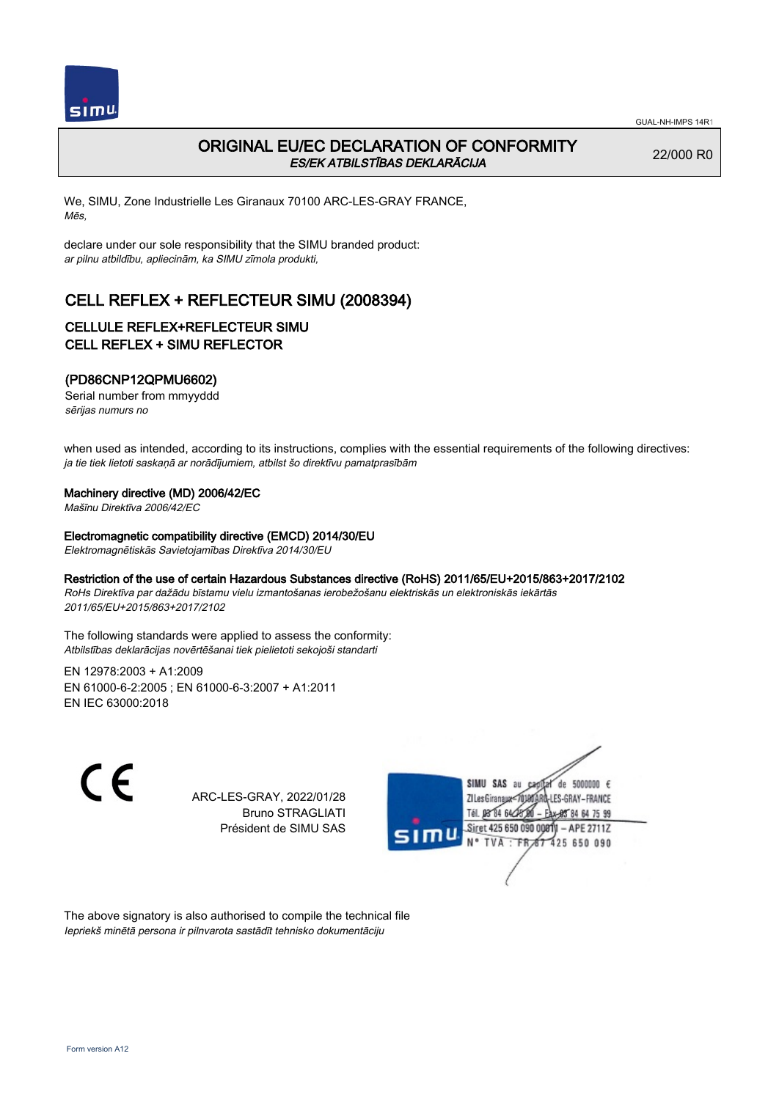

# ORIGINAL EU/EC DECLARATION OF CONFORMITY ES/EK ATBILSTĪBAS DEKLARĀCIJA

22/000 R0

We, SIMU, Zone Industrielle Les Giranaux 70100 ARC-LES-GRAY FRANCE, Mēs,

declare under our sole responsibility that the SIMU branded product: ar pilnu atbildību, apliecinām, ka SIMU zīmola produkti,

# CELL REFLEX + REFLECTEUR SIMU (2008394)

### CELLULE REFLEX+REFLECTEUR SIMU CELL REFLEX + SIMU REFLECTOR

### (PD86CNP12QPMU6602)

Serial number from mmyyddd sērijas numurs no

when used as intended, according to its instructions, complies with the essential requirements of the following directives: ja tie tiek lietoti saskaņā ar norādījumiem, atbilst šo direktīvu pamatprasībām

#### Machinery directive (MD) 2006/42/EC

Mašīnu Direktīva 2006/42/EC

#### Electromagnetic compatibility directive (EMCD) 2014/30/EU

Elektromagnētiskās Savietojamības Direktīva 2014/30/EU

#### Restriction of the use of certain Hazardous Substances directive (RoHS) 2011/65/EU+2015/863+2017/2102

RoHs Direktīva par dažādu bīstamu vielu izmantošanas ierobežošanu elektriskās un elektroniskās iekārtās 2011/65/EU+2015/863+2017/2102

The following standards were applied to assess the conformity: Atbilstības deklarācijas novērtēšanai tiek pielietoti sekojoši standarti

EN 12978:2003 + A1:2009 EN 61000‑6‑2:2005 ; EN 61000‑6‑3:2007 + A1:2011 EN IEC 63000:2018

C F

ARC-LES-GRAY, 2022/01/28 Bruno STRAGLIATI Président de SIMU SAS



The above signatory is also authorised to compile the technical file Iepriekš minētā persona ir pilnvarota sastādīt tehnisko dokumentāciju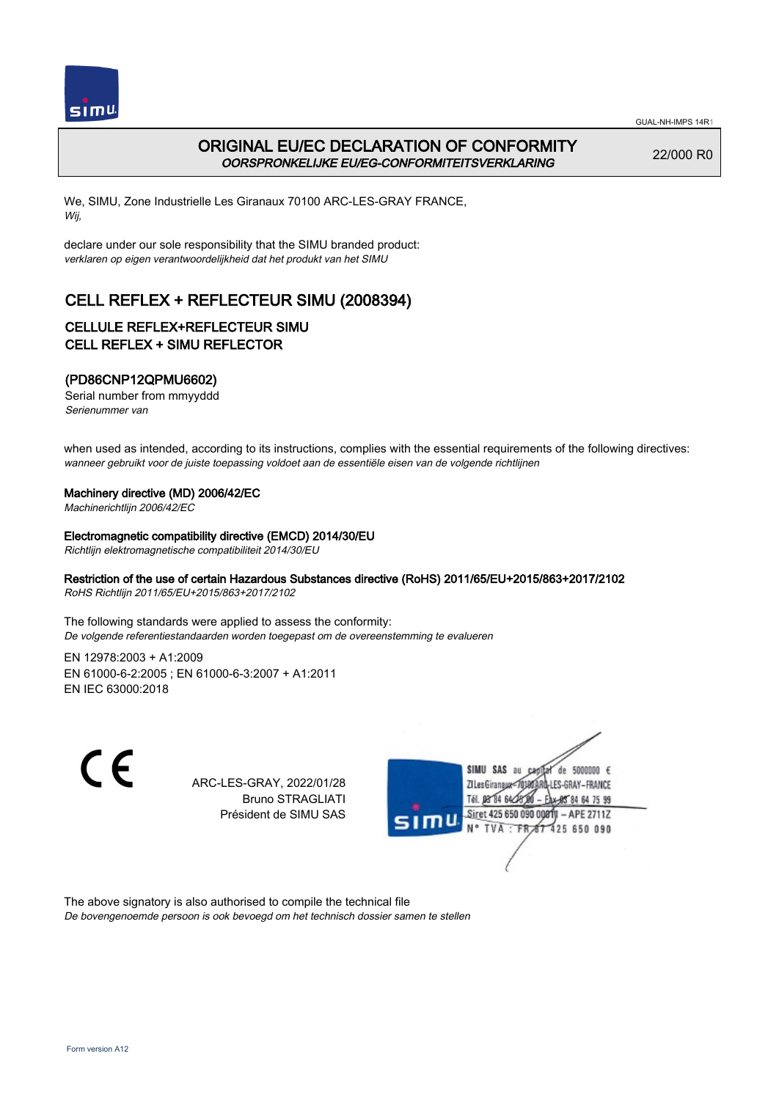

# ORIGINAL EU/EC DECLARATION OF CONFORMITY OORSPRONKELIJKE EU/EG-CONFORMITEITSVERKLARING

22/000 R0

We, SIMU, Zone Industrielle Les Giranaux 70100 ARC-LES-GRAY FRANCE, Wij,

declare under our sole responsibility that the SIMU branded product: verklaren op eigen verantwoordelijkheid dat het produkt van het SIMU

# CELL REFLEX + REFLECTEUR SIMU (2008394)

## CELLULE REFLEX+REFLECTEUR SIMU CELL REFLEX + SIMU REFLECTOR

### (PD86CNP12QPMU6602)

Serial number from mmyyddd Serienummer van

when used as intended, according to its instructions, complies with the essential requirements of the following directives: wanneer gebruikt voor de juiste toepassing voldoet aan de essentiële eisen van de volgende richtlijnen

#### Machinery directive (MD) 2006/42/EC

Machinerichtlijn 2006/42/EC

#### Electromagnetic compatibility directive (EMCD) 2014/30/EU

Richtlijn elektromagnetische compatibiliteit 2014/30/EU

#### Restriction of the use of certain Hazardous Substances directive (RoHS) 2011/65/EU+2015/863+2017/2102

RoHS Richtlijn 2011/65/EU+2015/863+2017/2102

The following standards were applied to assess the conformity: De volgende referentiestandaarden worden toegepast om de overeenstemming te evalueren

EN 12978:2003 + A1:2009 EN 61000‑6‑2:2005 ; EN 61000‑6‑3:2007 + A1:2011 EN IEC 63000:2018

 $\epsilon$ 

ARC-LES-GRAY, 2022/01/28 Bruno STRAGLIATI Président de SIMU SAS



The above signatory is also authorised to compile the technical file De bovengenoemde persoon is ook bevoegd om het technisch dossier samen te stellen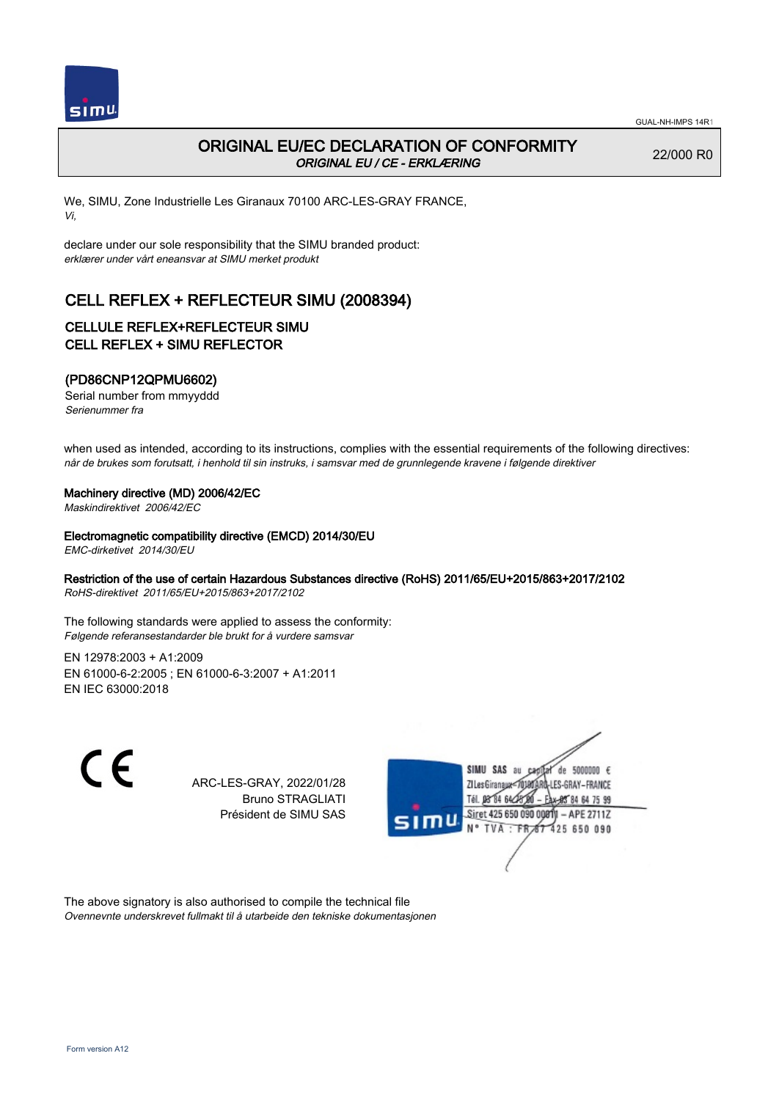

# ORIGINAL EU/EC DECLARATION OF CONFORMITY ORIGINAL EU / CE - ERKLÆRING

22/000 R0

We, SIMU, Zone Industrielle Les Giranaux 70100 ARC-LES-GRAY FRANCE, Vi,

declare under our sole responsibility that the SIMU branded product: erklærer under vårt eneansvar at SIMU merket produkt

# CELL REFLEX + REFLECTEUR SIMU (2008394)

### CELLULE REFLEX+REFLECTEUR SIMU CELL REFLEX + SIMU REFLECTOR

### (PD86CNP12QPMU6602)

Serial number from mmyyddd Serienummer fra

when used as intended, according to its instructions, complies with the essential requirements of the following directives: når de brukes som forutsatt, i henhold til sin instruks, i samsvar med de grunnlegende kravene i følgende direktiver

#### Machinery directive (MD) 2006/42/EC

Maskindirektivet 2006/42/EC

Electromagnetic compatibility directive (EMCD) 2014/30/EU

EMC-dirketivet 2014/30/EU

### Restriction of the use of certain Hazardous Substances directive (RoHS) 2011/65/EU+2015/863+2017/2102

RoHS-direktivet 2011/65/EU+2015/863+2017/2102

The following standards were applied to assess the conformity: Følgende referansestandarder ble brukt for å vurdere samsvar

EN 12978:2003 + A1:2009 EN 61000‑6‑2:2005 ; EN 61000‑6‑3:2007 + A1:2011 EN IEC 63000:2018

 $\epsilon$ 

ARC-LES-GRAY, 2022/01/28 Bruno STRAGLIATI Président de SIMU SAS



The above signatory is also authorised to compile the technical file Ovennevnte underskrevet fullmakt til å utarbeide den tekniske dokumentasjonen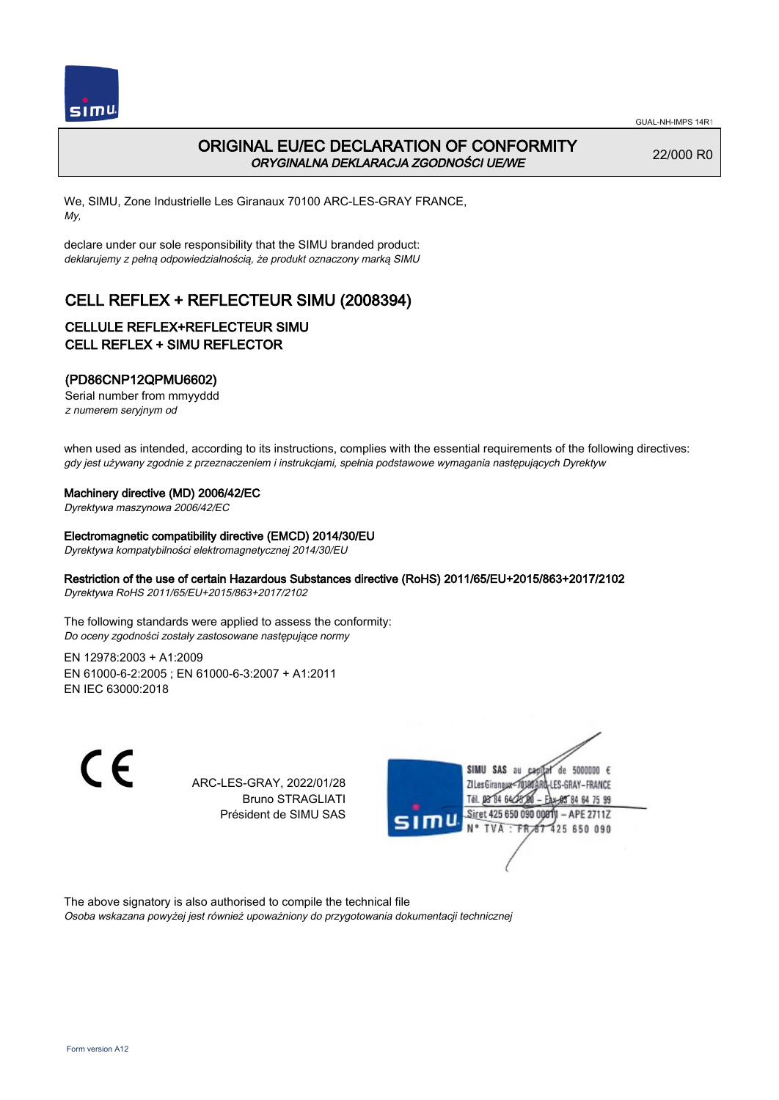

# ORIGINAL EU/EC DECLARATION OF CONFORMITY ORYGINALNA DEKLARACJA ZGODNOŚCI UE/WE

22/000 R0

We, SIMU, Zone Industrielle Les Giranaux 70100 ARC-LES-GRAY FRANCE, My,

declare under our sole responsibility that the SIMU branded product: deklarujemy z pełną odpowiedzialnością, że produkt oznaczony marką SIMU

# CELL REFLEX + REFLECTEUR SIMU (2008394)

### CELLULE REFLEX+REFLECTEUR SIMU CELL REFLEX + SIMU REFLECTOR

### (PD86CNP12QPMU6602)

Serial number from mmyyddd z numerem seryjnym od

when used as intended, according to its instructions, complies with the essential requirements of the following directives: gdy jest używany zgodnie z przeznaczeniem i instrukcjami, spełnia podstawowe wymagania następujących Dyrektyw

#### Machinery directive (MD) 2006/42/EC

Dyrektywa maszynowa 2006/42/EC

#### Electromagnetic compatibility directive (EMCD) 2014/30/EU

Dyrektywa kompatybilności elektromagnetycznej 2014/30/EU

#### Restriction of the use of certain Hazardous Substances directive (RoHS) 2011/65/EU+2015/863+2017/2102

Dyrektywa RoHS 2011/65/EU+2015/863+2017/2102

The following standards were applied to assess the conformity: Do oceny zgodności zostały zastosowane następujące normy

EN 12978:2003 + A1:2009 EN 61000‑6‑2:2005 ; EN 61000‑6‑3:2007 + A1:2011 EN IEC 63000:2018

 $\epsilon$ 

ARC-LES-GRAY, 2022/01/28 Bruno STRAGLIATI Président de SIMU SAS



The above signatory is also authorised to compile the technical file Osoba wskazana powyżej jest również upoważniony do przygotowania dokumentacji technicznej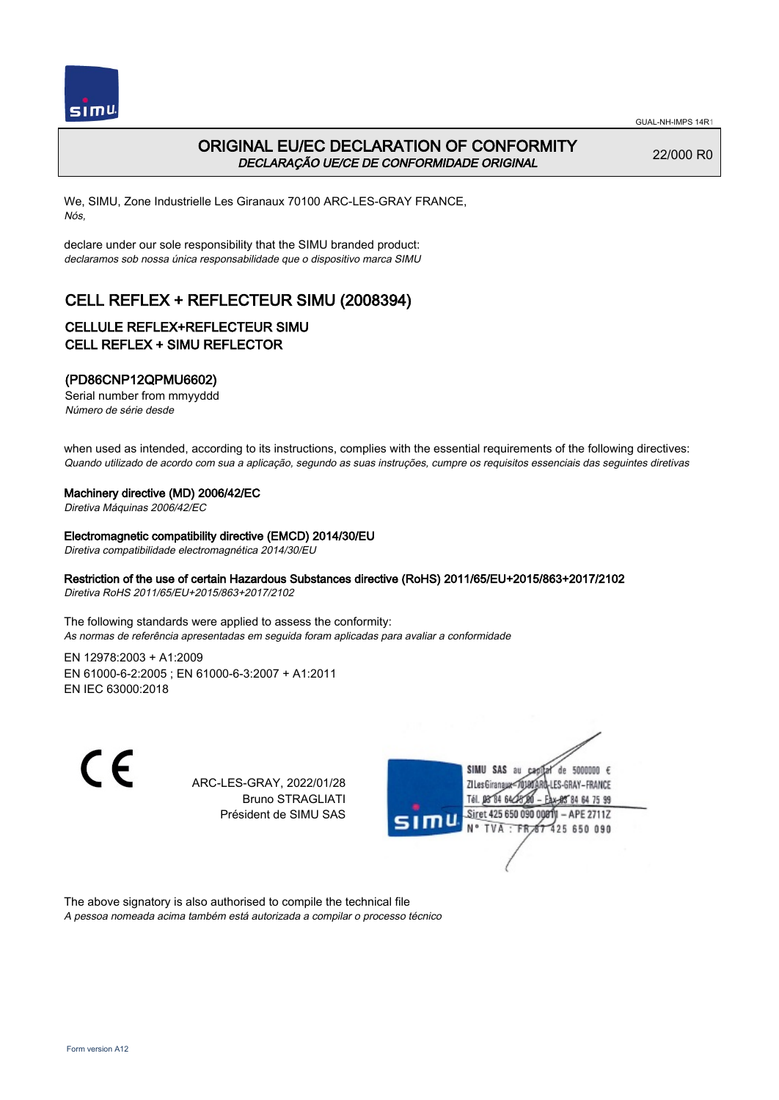

# ORIGINAL EU/EC DECLARATION OF CONFORMITY DECLARAÇÃO UE/CE DE CONFORMIDADE ORIGINAL

22/000 R0

We, SIMU, Zone Industrielle Les Giranaux 70100 ARC-LES-GRAY FRANCE, Nós,

declare under our sole responsibility that the SIMU branded product: declaramos sob nossa única responsabilidade que o dispositivo marca SIMU

# CELL REFLEX + REFLECTEUR SIMU (2008394)

## CELLULE REFLEX+REFLECTEUR SIMU CELL REFLEX + SIMU REFLECTOR

### (PD86CNP12QPMU6602)

Serial number from mmyyddd Número de série desde

when used as intended, according to its instructions, complies with the essential requirements of the following directives: Quando utilizado de acordo com sua a aplicação, segundo as suas instruções, cumpre os requisitos essenciais das seguintes diretivas

#### Machinery directive (MD) 2006/42/EC

Diretiva Máquinas 2006/42/EC

#### Electromagnetic compatibility directive (EMCD) 2014/30/EU

Diretiva compatibilidade electromagnética 2014/30/EU

#### Restriction of the use of certain Hazardous Substances directive (RoHS) 2011/65/EU+2015/863+2017/2102

Diretiva RoHS 2011/65/EU+2015/863+2017/2102

The following standards were applied to assess the conformity: As normas de referência apresentadas em seguida foram aplicadas para avaliar a conformidade

EN 12978:2003 + A1:2009 EN 61000‑6‑2:2005 ; EN 61000‑6‑3:2007 + A1:2011 EN IEC 63000:2018

 $\epsilon$ 

ARC-LES-GRAY, 2022/01/28 Bruno STRAGLIATI Président de SIMU SAS



The above signatory is also authorised to compile the technical file A pessoa nomeada acima também está autorizada a compilar o processo técnico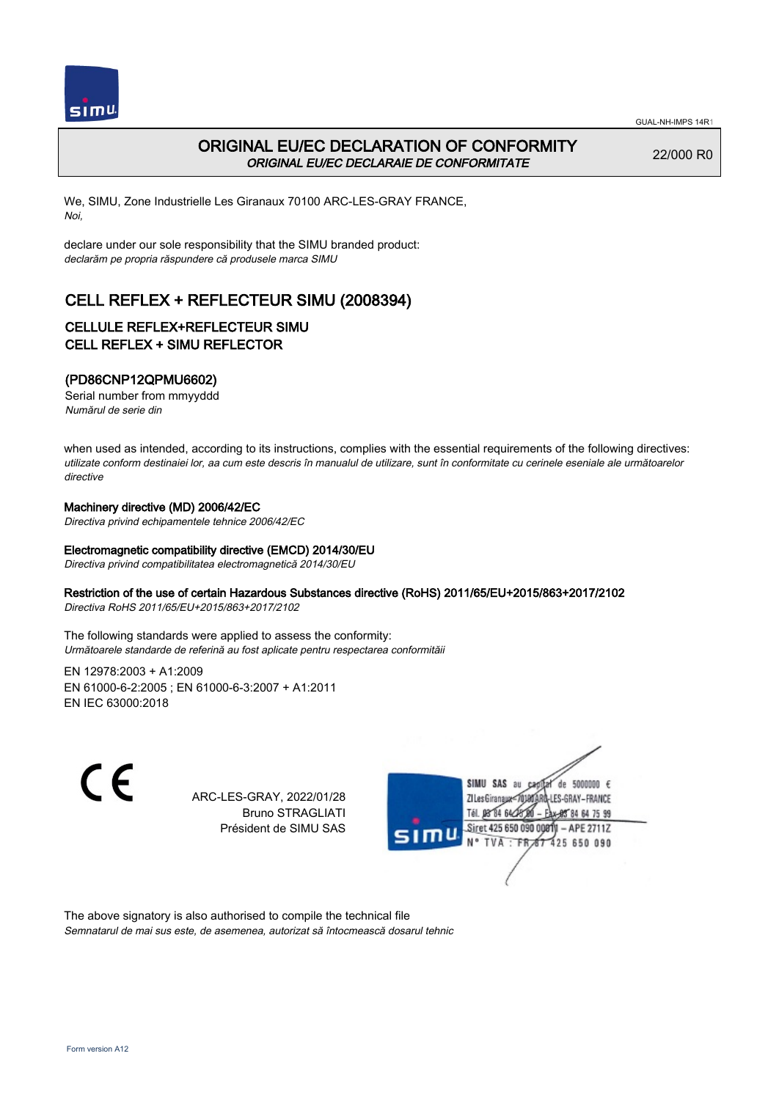

## ORIGINAL EU/EC DECLARATION OF CONFORMITY ORIGINAL EU/EC DECLARAIE DE CONFORMITATE

22/000 R0

We, SIMU, Zone Industrielle Les Giranaux 70100 ARC-LES-GRAY FRANCE, Noi,

declare under our sole responsibility that the SIMU branded product: declarăm pe propria răspundere că produsele marca SIMU

# CELL REFLEX + REFLECTEUR SIMU (2008394)

### CELLULE REFLEX+REFLECTEUR SIMU CELL REFLEX + SIMU REFLECTOR

### (PD86CNP12QPMU6602)

Serial number from mmyyddd Numărul de serie din

when used as intended, according to its instructions, complies with the essential requirements of the following directives: utilizate conform destinaiei lor, aa cum este descris în manualul de utilizare, sunt în conformitate cu cerinele eseniale ale următoarelor directive

#### Machinery directive (MD) 2006/42/EC

Directiva privind echipamentele tehnice 2006/42/EC

#### Electromagnetic compatibility directive (EMCD) 2014/30/EU

Directiva privind compatibilitatea electromagnetică 2014/30/EU

#### Restriction of the use of certain Hazardous Substances directive (RoHS) 2011/65/EU+2015/863+2017/2102

Directiva RoHS 2011/65/EU+2015/863+2017/2102

The following standards were applied to assess the conformity: Următoarele standarde de referină au fost aplicate pentru respectarea conformităii

EN 12978:2003 + A1:2009 EN 61000‑6‑2:2005 ; EN 61000‑6‑3:2007 + A1:2011 EN IEC 63000:2018

C F

ARC-LES-GRAY, 2022/01/28 Bruno STRAGLIATI Président de SIMU SAS



The above signatory is also authorised to compile the technical file Semnatarul de mai sus este, de asemenea, autorizat să întocmească dosarul tehnic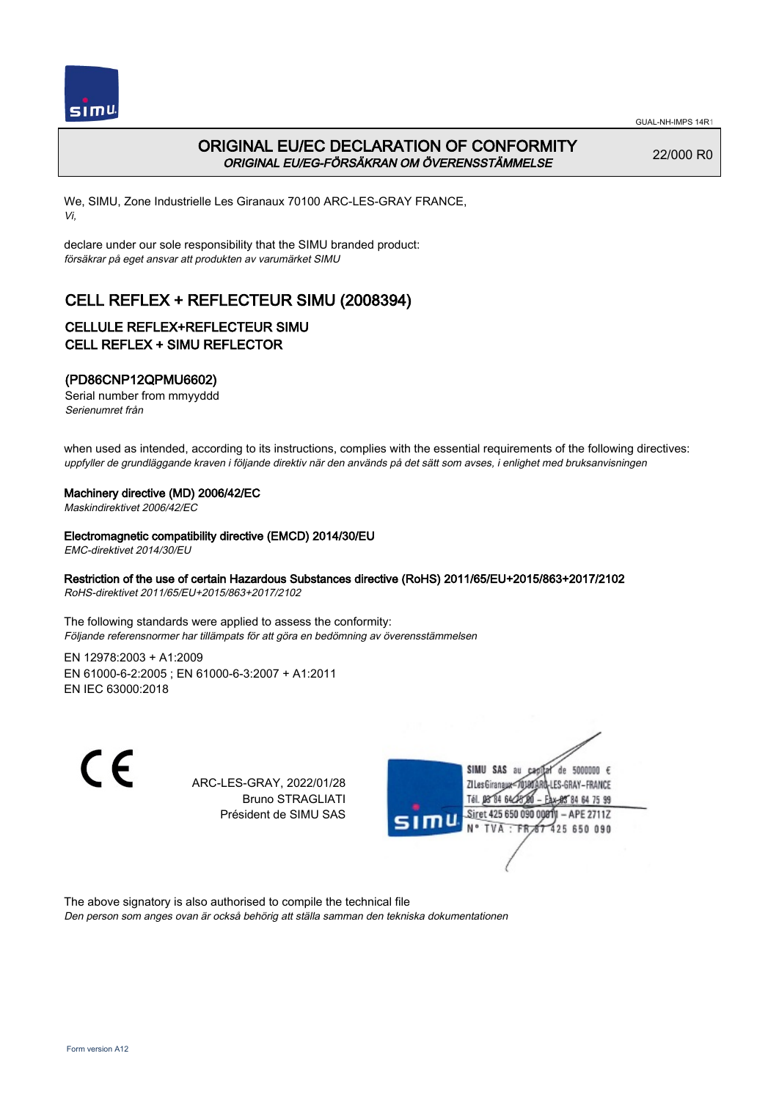

# ORIGINAL EU/EC DECLARATION OF CONFORMITY ORIGINAL EU/EG-FÖRSÄKRAN OM ÖVERENSSTÄMMELSE

22/000 R0

We, SIMU, Zone Industrielle Les Giranaux 70100 ARC-LES-GRAY FRANCE, Vi,

declare under our sole responsibility that the SIMU branded product: försäkrar på eget ansvar att produkten av varumärket SIMU

# CELL REFLEX + REFLECTEUR SIMU (2008394)

### CELLULE REFLEX+REFLECTEUR SIMU CELL REFLEX + SIMU REFLECTOR

### (PD86CNP12QPMU6602)

Serial number from mmyyddd Serienumret från

when used as intended, according to its instructions, complies with the essential requirements of the following directives: uppfyller de grundläggande kraven i följande direktiv när den används på det sätt som avses, i enlighet med bruksanvisningen

#### Machinery directive (MD) 2006/42/EC

Maskindirektivet 2006/42/EC

Electromagnetic compatibility directive (EMCD) 2014/30/EU

EMC-direktivet 2014/30/EU

### Restriction of the use of certain Hazardous Substances directive (RoHS) 2011/65/EU+2015/863+2017/2102

RoHS-direktivet 2011/65/EU+2015/863+2017/2102

The following standards were applied to assess the conformity: Följande referensnormer har tillämpats för att göra en bedömning av överensstämmelsen

EN 12978:2003 + A1:2009 EN 61000‑6‑2:2005 ; EN 61000‑6‑3:2007 + A1:2011 EN IEC 63000:2018

 $\epsilon$ 

ARC-LES-GRAY, 2022/01/28 Bruno STRAGLIATI Président de SIMU SAS



The above signatory is also authorised to compile the technical file Den person som anges ovan är också behörig att ställa samman den tekniska dokumentationen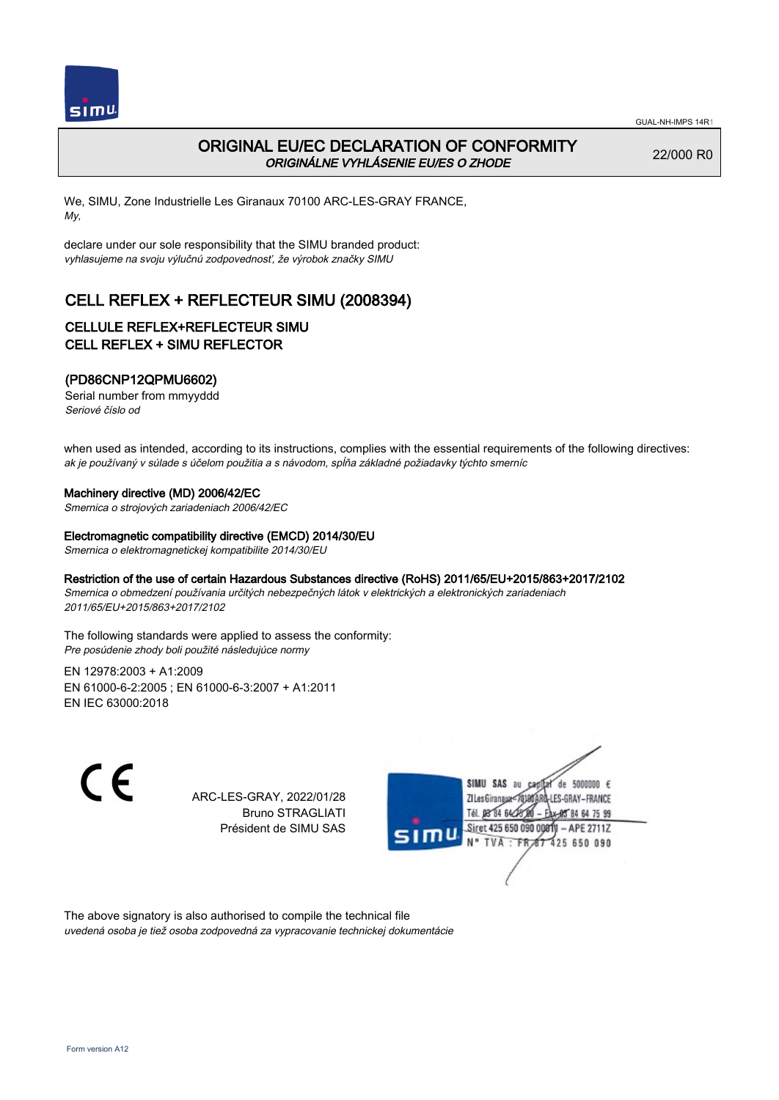

# ORIGINAL EU/EC DECLARATION OF CONFORMITY ORIGINÁLNE VYHLÁSENIE EU/ES O ZHODE

22/000 R0

We, SIMU, Zone Industrielle Les Giranaux 70100 ARC-LES-GRAY FRANCE, My,

declare under our sole responsibility that the SIMU branded product: vyhlasujeme na svoju výlučnú zodpovednosť, že výrobok značky SIMU

# CELL REFLEX + REFLECTEUR SIMU (2008394)

## CELLULE REFLEX+REFLECTEUR SIMU CELL REFLEX + SIMU REFLECTOR

### (PD86CNP12QPMU6602)

Serial number from mmyyddd Seriové číslo od

when used as intended, according to its instructions, complies with the essential requirements of the following directives: ak je používaný v súlade s účelom použitia a s návodom, spĺňa základné požiadavky týchto smerníc

#### Machinery directive (MD) 2006/42/EC

Smernica o strojových zariadeniach 2006/42/EC

#### Electromagnetic compatibility directive (EMCD) 2014/30/EU

Smernica o elektromagnetickej kompatibilite 2014/30/EU

#### Restriction of the use of certain Hazardous Substances directive (RoHS) 2011/65/EU+2015/863+2017/2102

Smernica o obmedzení používania určitých nebezpečných látok v elektrických a elektronických zariadeniach 2011/65/EU+2015/863+2017/2102

The following standards were applied to assess the conformity: Pre posúdenie zhody boli použité následujúce normy

EN 12978:2003 + A1:2009 EN 61000‑6‑2:2005 ; EN 61000‑6‑3:2007 + A1:2011 EN IEC 63000:2018

C F

ARC-LES-GRAY, 2022/01/28 Bruno STRAGLIATI Président de SIMU SAS



The above signatory is also authorised to compile the technical file uvedená osoba je tiež osoba zodpovedná za vypracovanie technickej dokumentácie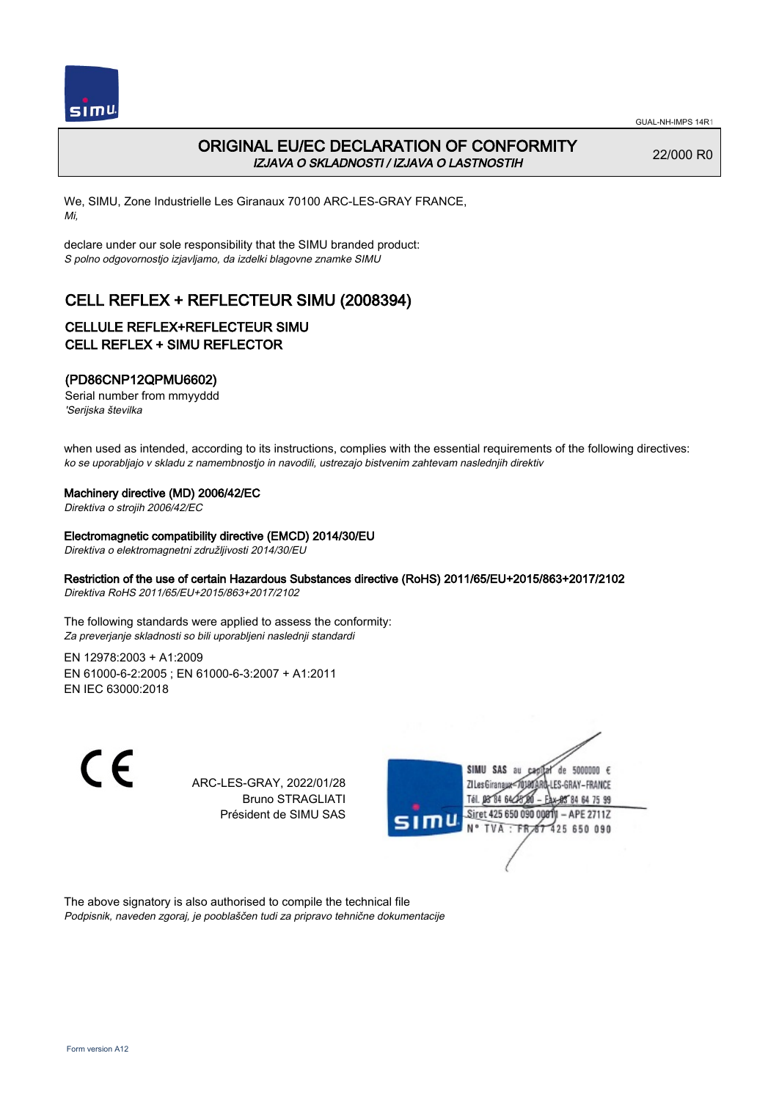

# ORIGINAL EU/EC DECLARATION OF CONFORMITY IZJAVA O SKLADNOSTI / IZJAVA O LASTNOSTIH

22/000 R0

We, SIMU, Zone Industrielle Les Giranaux 70100 ARC-LES-GRAY FRANCE, Mi,

declare under our sole responsibility that the SIMU branded product: S polno odgovornostjo izjavljamo, da izdelki blagovne znamke SIMU

# CELL REFLEX + REFLECTEUR SIMU (2008394)

### CELLULE REFLEX+REFLECTEUR SIMU CELL REFLEX + SIMU REFLECTOR

### (PD86CNP12QPMU6602)

Serial number from mmyyddd 'Serijska številka

when used as intended, according to its instructions, complies with the essential requirements of the following directives: ko se uporabljajo v skladu z namembnostjo in navodili, ustrezajo bistvenim zahtevam naslednjih direktiv

#### Machinery directive (MD) 2006/42/EC

Direktiva o strojih 2006/42/EC

#### Electromagnetic compatibility directive (EMCD) 2014/30/EU

Direktiva o elektromagnetni združljivosti 2014/30/EU

#### Restriction of the use of certain Hazardous Substances directive (RoHS) 2011/65/EU+2015/863+2017/2102

Direktiva RoHS 2011/65/EU+2015/863+2017/2102

The following standards were applied to assess the conformity: Za preverjanje skladnosti so bili uporabljeni naslednji standardi

EN 12978:2003 + A1:2009 EN 61000‑6‑2:2005 ; EN 61000‑6‑3:2007 + A1:2011 EN IEC 63000:2018

 $\epsilon$ 

ARC-LES-GRAY, 2022/01/28 Bruno STRAGLIATI Président de SIMU SAS



The above signatory is also authorised to compile the technical file Podpisnik, naveden zgoraj, je pooblaščen tudi za pripravo tehnične dokumentacije